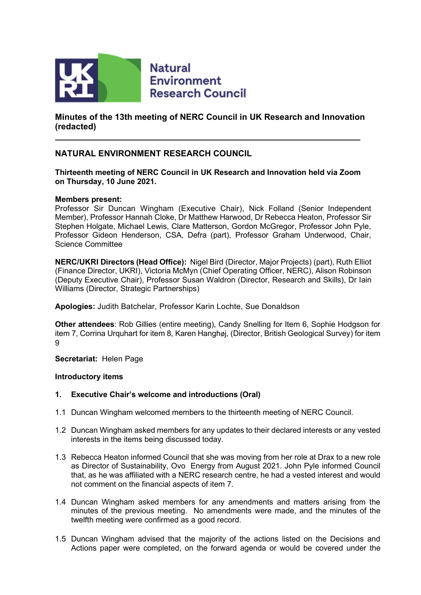

**Natural Environment Research Council** 

**Minutes of the 13th meeting of NERC Council in UK Research and Innovation (redacted)**

# **NATURAL ENVIRONMENT RESEARCH COUNCIL**

**Thirteenth meeting of NERC Council in UK Research and Innovation held via Zoom on Thursday, 10 June 2021.** 

#### **Members present:**

Professor Sir Duncan Wingham (Executive Chair), Nick Folland (Senior Independent Member), Professor Hannah Cloke, Dr Matthew Harwood, Dr Rebecca Heaton, Professor Sir Stephen Holgate, Michael Lewis, Clare Matterson, Gordon McGregor, Professor John Pyle, Professor Gideon Henderson, CSA, Defra (part), Professor Graham Underwood, Chair, Science Committee

**NERC/UKRI Directors (Head Office):** Nigel Bird (Director, Major Projects) (part), Ruth Elliot (Finance Director, UKRI), Victoria McMyn (Chief Operating Officer, NERC), Alison Robinson (Deputy Executive Chair), Professor Susan Waldron (Director, Research and Skills), Dr Iain Williams (Director, Strategic Partnerships)

**Apologies:** Judith Batchelar, Professor Karin Lochte, Sue Donaldson

**Other attendees**: Rob Gillies (entire meeting), Candy Snelling for Item 6, Sophie Hodgson for item 7, Corrina Urquhart for item 8, Karen Hanghøj, (Director, British Geological Survey) for item  $\mathsf{Q}$ 

**Secretariat:** Helen Page

#### **Introductory items**

### **1. Executive Chair's welcome and introductions (Oral)**

- 1.1 Duncan Wingham welcomed members to the thirteenth meeting of NERC Council.
- 1.2 Duncan Wingham asked members for any updates to their declared interests or any vested interests in the items being discussed today.
- 1.3 Rebecca Heaton informed Council that she was moving from her role at Drax to a new role as Director of Sustainability, Ovo Energy from August 2021. John Pyle informed Council that, as he was affiliated with a NERC research centre, he had a vested interest and would not comment on the financial aspects of item 7.
- 1.4 Duncan Wingham asked members for any amendments and matters arising from the minutes of the previous meeting. No amendments were made, and the minutes of the twelfth meeting were confirmed as a good record.
- 1.5 Duncan Wingham advised that the majority of the actions listed on the Decisions and Actions paper were completed, on the forward agenda or would be covered under the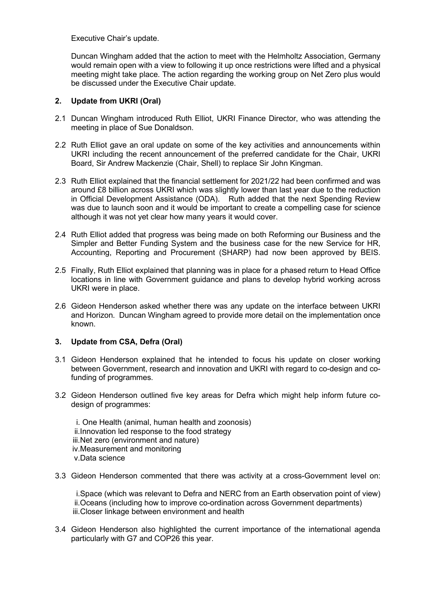Executive Chair's update.

Duncan Wingham added that the action to meet with the Helmholtz Association, Germany would remain open with a view to following it up once restrictions were lifted and a physical meeting might take place. The action regarding the working group on Net Zero plus would be discussed under the Executive Chair update.

### **2. Update from UKRI (Oral)**

- 2.1 Duncan Wingham introduced Ruth Elliot, UKRI Finance Director, who was attending the meeting in place of Sue Donaldson.
- 2.2 Ruth Elliot gave an oral update on some of the key activities and announcements within UKRI including the recent announcement of the preferred candidate for the Chair, UKRI Board, Sir Andrew Mackenzie (Chair, Shell) to replace Sir John Kingman.
- 2.3 Ruth Elliot explained that the financial settlement for 2021/22 had been confirmed and was around £8 billion across UKRI which was slightly lower than last year due to the reduction in Official Development Assistance (ODA). Ruth added that the next Spending Review was due to launch soon and it would be important to create a compelling case for science although it was not yet clear how many years it would cover.
- 2.4 Ruth Elliot added that progress was being made on both Reforming our Business and the Simpler and Better Funding System and the business case for the new Service for HR, Accounting, Reporting and Procurement (SHARP) had now been approved by BEIS.
- 2.5 Finally, Ruth Elliot explained that planning was in place for a phased return to Head Office locations in line with Government guidance and plans to develop hybrid working across UKRI were in place.
- 2.6 Gideon Henderson asked whether there was any update on the interface between UKRI and Horizon. Duncan Wingham agreed to provide more detail on the implementation once known.

# **3. Update from CSA, Defra (Oral)**

- 3.1 Gideon Henderson explained that he intended to focus his update on closer working between Government, research and innovation and UKRI with regard to co-design and cofunding of programmes.
- 3.2 Gideon Henderson outlined five key areas for Defra which might help inform future codesign of programmes:

i. One Health (animal, human health and zoonosis) ii.Innovation led response to the food strategy iii.Net zero (environment and nature) iv.Measurement and monitoring v.Data science

3.3 Gideon Henderson commented that there was activity at a cross-Government level on:

i.Space (which was relevant to Defra and NERC from an Earth observation point of view) ii.Oceans (including how to improve co-ordination across Government departments) iii.Closer linkage between environment and health

3.4 Gideon Henderson also highlighted the current importance of the international agenda particularly with G7 and COP26 this year.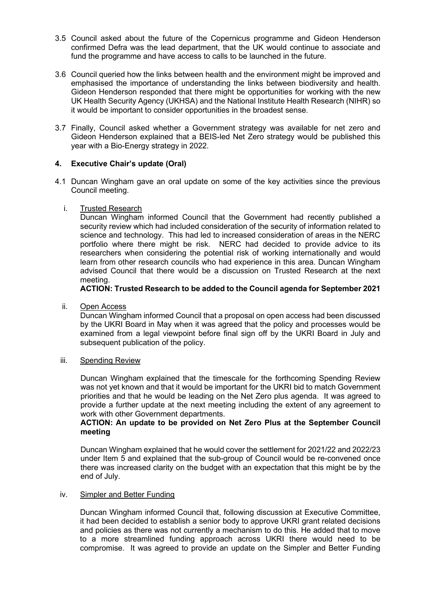- 3.5 Council asked about the future of the Copernicus programme and Gideon Henderson confirmed Defra was the lead department, that the UK would continue to associate and fund the programme and have access to calls to be launched in the future.
- 3.6 Council queried how the links between health and the environment might be improved and emphasised the importance of understanding the links between biodiversity and health. Gideon Henderson responded that there might be opportunities for working with the new UK Health Security Agency (UKHSA) and the National Institute Health Research (NIHR) so it would be important to consider opportunities in the broadest sense.
- 3.7 Finally, Council asked whether a Government strategy was available for net zero and Gideon Henderson explained that a BEIS-led Net Zero strategy would be published this year with a Bio-Energy strategy in 2022.

### **4. Executive Chair's update (Oral)**

- 4.1 Duncan Wingham gave an oral update on some of the key activities since the previous Council meeting.
	- i. Trusted Research

Duncan Wingham informed Council that the Government had recently published a security review which had included consideration of the security of information related to science and technology. This had led to increased consideration of areas in the NERC portfolio where there might be risk. NERC had decided to provide advice to its researchers when considering the potential risk of working internationally and would learn from other research councils who had experience in this area. Duncan Wingham advised Council that there would be a discussion on Trusted Research at the next meeting.

**ACTION: Trusted Research to be added to the Council agenda for September 2021**

ii. Open Access

Duncan Wingham informed Council that a proposal on open access had been discussed by the UKRI Board in May when it was agreed that the policy and processes would be examined from a legal viewpoint before final sign off by the UKRI Board in July and subsequent publication of the policy.

#### iii. Spending Review

Duncan Wingham explained that the timescale for the forthcoming Spending Review was not yet known and that it would be important for the UKRI bid to match Government priorities and that he would be leading on the Net Zero plus agenda. It was agreed to provide a further update at the next meeting including the extent of any agreement to work with other Government departments.

### **ACTION: An update to be provided on Net Zero Plus at the September Council meeting**

Duncan Wingham explained that he would cover the settlement for 2021/22 and 2022/23 under Item 5 and explained that the sub-group of Council would be re-convened once there was increased clarity on the budget with an expectation that this might be by the end of July.

### iv. Simpler and Better Funding

Duncan Wingham informed Council that, following discussion at Executive Committee, it had been decided to establish a senior body to approve UKRI grant related decisions and policies as there was not currently a mechanism to do this. He added that to move to a more streamlined funding approach across UKRI there would need to be compromise. It was agreed to provide an update on the Simpler and Better Funding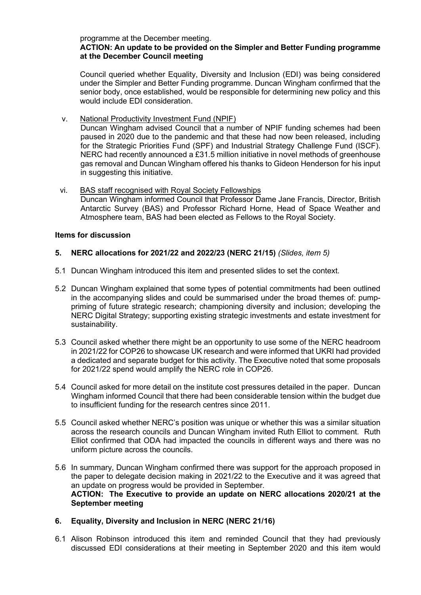# programme at the December meeting.

### **ACTION: An update to be provided on the Simpler and Better Funding programme at the December Council meeting**

Council queried whether Equality, Diversity and Inclusion (EDI) was being considered under the Simpler and Better Funding programme. Duncan Wingham confirmed that the senior body, once established, would be responsible for determining new policy and this would include EDI consideration.

v. National Productivity Investment Fund (NPIF)

Duncan Wingham advised Council that a number of NPIF funding schemes had been paused in 2020 due to the pandemic and that these had now been released, including for the Strategic Priorities Fund (SPF) and Industrial Strategy Challenge Fund (ISCF). NERC had recently announced a £31.5 million initiative in novel methods of greenhouse gas removal and Duncan Wingham offered his thanks to Gideon Henderson for his input in suggesting this initiative.

vi. BAS staff recognised with Royal Society Fellowships Duncan Wingham informed Council that Professor Dame Jane Francis, Director, British Antarctic Survey (BAS) and Professor Richard Horne, Head of Space Weather and Atmosphere team, BAS had been elected as Fellows to the Royal Society.

### **Items for discussion**

# **5. NERC allocations for 2021/22 and 2022/23 (NERC 21/15)** *(Slides, item 5)*

- 5.1 Duncan Wingham introduced this item and presented slides to set the context.
- 5.2 Duncan Wingham explained that some types of potential commitments had been outlined in the accompanying slides and could be summarised under the broad themes of: pumppriming of future strategic research; championing diversity and inclusion; developing the NERC Digital Strategy; supporting existing strategic investments and estate investment for sustainability.
- 5.3 Council asked whether there might be an opportunity to use some of the NERC headroom in 2021/22 for COP26 to showcase UK research and were informed that UKRI had provided a dedicated and separate budget for this activity. The Executive noted that some proposals for 2021/22 spend would amplify the NERC role in COP26.
- 5.4 Council asked for more detail on the institute cost pressures detailed in the paper. Duncan Wingham informed Council that there had been considerable tension within the budget due to insufficient funding for the research centres since 2011.
- 5.5 Council asked whether NERC's position was unique or whether this was a similar situation across the research councils and Duncan Wingham invited Ruth Elliot to comment. Ruth Elliot confirmed that ODA had impacted the councils in different ways and there was no uniform picture across the councils.
- 5.6 In summary, Duncan Wingham confirmed there was support for the approach proposed in the paper to delegate decision making in 2021/22 to the Executive and it was agreed that an update on progress would be provided in September. **ACTION: The Executive to provide an update on NERC allocations 2020/21 at the September meeting**
- **6. Equality, Diversity and Inclusion in NERC (NERC 21/16)**
- 6.1 Alison Robinson introduced this item and reminded Council that they had previously discussed EDI considerations at their meeting in September 2020 and this item would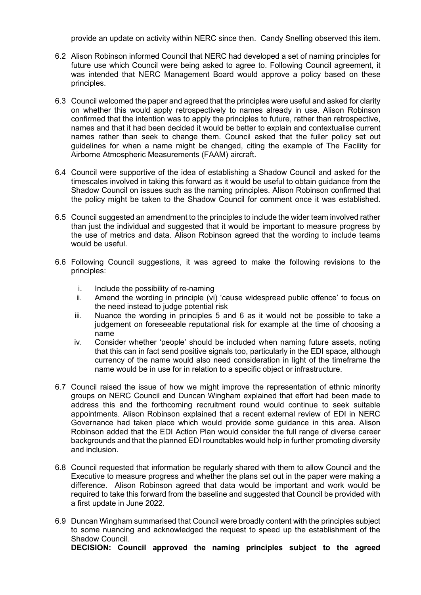provide an update on activity within NERC since then. Candy Snelling observed this item.

- 6.2 Alison Robinson informed Council that NERC had developed a set of naming principles for future use which Council were being asked to agree to. Following Council agreement, it was intended that NERC Management Board would approve a policy based on these principles.
- 6.3 Council welcomed the paper and agreed that the principles were useful and asked for clarity on whether this would apply retrospectively to names already in use. Alison Robinson confirmed that the intention was to apply the principles to future, rather than retrospective, names and that it had been decided it would be better to explain and contextualise current names rather than seek to change them. Council asked that the fuller policy set out guidelines for when a name might be changed, citing the example of The Facility for Airborne Atmospheric Measurements (FAAM) aircraft.
- 6.4 Council were supportive of the idea of establishing a Shadow Council and asked for the timescales involved in taking this forward as it would be useful to obtain guidance from the Shadow Council on issues such as the naming principles. Alison Robinson confirmed that the policy might be taken to the Shadow Council for comment once it was established.
- 6.5 Council suggested an amendment to the principles to include the wider team involved rather than just the individual and suggested that it would be important to measure progress by the use of metrics and data. Alison Robinson agreed that the wording to include teams would be useful.
- 6.6 Following Council suggestions, it was agreed to make the following revisions to the principles:
	- i. Include the possibility of re-naming<br>ii. Amend the wording in principle (vi)
	- Amend the wording in principle (vi) 'cause widespread public offence' to focus on the need instead to judge potential risk
	- iii. Nuance the wording in principles 5 and 6 as it would not be possible to take a judgement on foreseeable reputational risk for example at the time of choosing a name
	- iv. Consider whether 'people' should be included when naming future assets, noting that this can in fact send positive signals too, particularly in the EDI space, although currency of the name would also need consideration in light of the timeframe the name would be in use for in relation to a specific object or infrastructure.
- 6.7 Council raised the issue of how we might improve the representation of ethnic minority groups on NERC Council and Duncan Wingham explained that effort had been made to address this and the forthcoming recruitment round would continue to seek suitable appointments. Alison Robinson explained that a recent external review of EDI in NERC Governance had taken place which would provide some guidance in this area. Alison Robinson added that the EDI Action Plan would consider the full range of diverse career backgrounds and that the planned EDI roundtables would help in further promoting diversity and inclusion.
- 6.8 Council requested that information be regularly shared with them to allow Council and the Executive to measure progress and whether the plans set out in the paper were making a difference. Alison Robinson agreed that data would be important and work would be required to take this forward from the baseline and suggested that Council be provided with a first update in June 2022.
- 6.9 Duncan Wingham summarised that Council were broadly content with the principles subject to some nuancing and acknowledged the request to speed up the establishment of the Shadow Council. **DECISION: Council approved the naming principles subject to the agreed**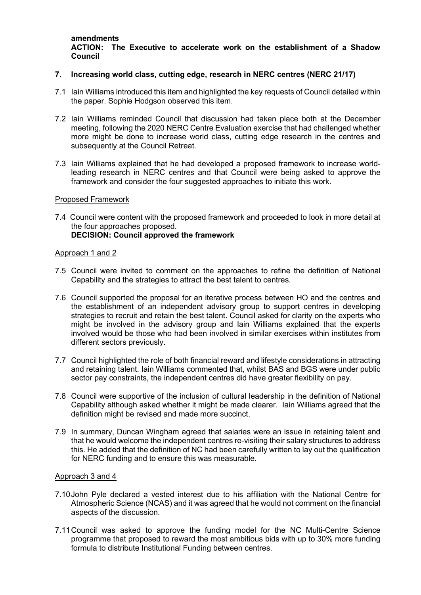**amendments ACTION: The Executive to accelerate work on the establishment of a Shadow Council**

#### **7. Increasing world class, cutting edge, research in NERC centres (NERC 21/17)**

- 7.1 Iain Williams introduced this item and highlighted the key requests of Council detailed within the paper. Sophie Hodgson observed this item.
- 7.2 Iain Williams reminded Council that discussion had taken place both at the December meeting, following the 2020 NERC Centre Evaluation exercise that had challenged whether more might be done to increase world class, cutting edge research in the centres and subsequently at the Council Retreat.
- 7.3 Iain Williams explained that he had developed a proposed framework to increase worldleading research in NERC centres and that Council were being asked to approve the framework and consider the four suggested approaches to initiate this work.

#### Proposed Framework

7.4 Council were content with the proposed framework and proceeded to look in more detail at the four approaches proposed. **DECISION: Council approved the framework**

#### Approach 1 and 2

- 7.5 Council were invited to comment on the approaches to refine the definition of National Capability and the strategies to attract the best talent to centres.
- 7.6 Council supported the proposal for an iterative process between HO and the centres and the establishment of an independent advisory group to support centres in developing strategies to recruit and retain the best talent. Council asked for clarity on the experts who might be involved in the advisory group and Iain Williams explained that the experts involved would be those who had been involved in similar exercises within institutes from different sectors previously.
- 7.7 Council highlighted the role of both financial reward and lifestyle considerations in attracting and retaining talent. Iain Williams commented that, whilst BAS and BGS were under public sector pay constraints, the independent centres did have greater flexibility on pay.
- 7.8 Council were supportive of the inclusion of cultural leadership in the definition of National Capability although asked whether it might be made clearer. Iain Williams agreed that the definition might be revised and made more succinct.
- 7.9 In summary, Duncan Wingham agreed that salaries were an issue in retaining talent and that he would welcome the independent centres re-visiting their salary structures to address this. He added that the definition of NC had been carefully written to lay out the qualification for NERC funding and to ensure this was measurable.

#### Approach 3 and 4

- 7.10John Pyle declared a vested interest due to his affiliation with the National Centre for Atmospheric Science (NCAS) and it was agreed that he would not comment on the financial aspects of the discussion.
- 7.11Council was asked to approve the funding model for the NC Multi-Centre Science programme that proposed to reward the most ambitious bids with up to 30% more funding formula to distribute Institutional Funding between centres.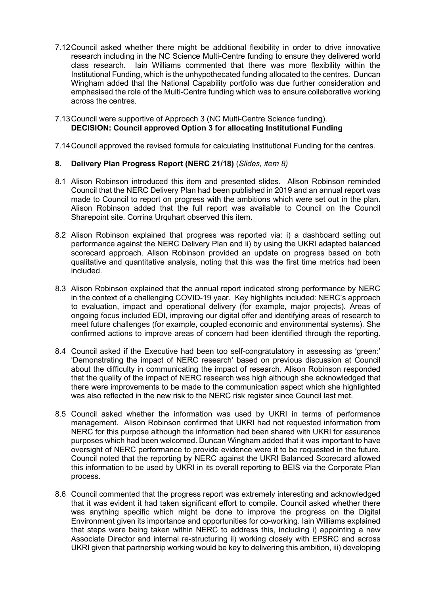7.12Council asked whether there might be additional flexibility in order to drive innovative research including in the NC Science Multi-Centre funding to ensure they delivered world class research. Iain Williams commented that there was more flexibility within the Institutional Funding, which is the unhypothecated funding allocated to the centres. Duncan Wingham added that the National Capability portfolio was due further consideration and emphasised the role of the Multi-Centre funding which was to ensure collaborative working across the centres.

#### 7.13Council were supportive of Approach 3 (NC Multi-Centre Science funding). **DECISION: Council approved Option 3 for allocating Institutional Funding**

7.14Council approved the revised formula for calculating Institutional Funding for the centres.

### **8. Delivery Plan Progress Report (NERC 21/18)** (*Slides, item 8)*

- 8.1 Alison Robinson introduced this item and presented slides. Alison Robinson reminded Council that the NERC Delivery Plan had been published in 2019 and an annual report was made to Council to report on progress with the ambitions which were set out in the plan. Alison Robinson added that the full report was available to Council on the Council Sharepoint site. Corrina Urquhart observed this item.
- 8.2 Alison Robinson explained that progress was reported via: i) a dashboard setting out performance against the NERC Delivery Plan and ii) by using the UKRI adapted balanced scorecard approach. Alison Robinson provided an update on progress based on both qualitative and quantitative analysis, noting that this was the first time metrics had been included.
- 8.3 Alison Robinson explained that the annual report indicated strong performance by NERC in the context of a challenging COVID-19 year. Key highlights included: NERC's approach to evaluation, impact and operational delivery (for example, major projects). Areas of ongoing focus included EDI, improving our digital offer and identifying areas of research to meet future challenges (for example, coupled economic and environmental systems). She confirmed actions to improve areas of concern had been identified through the reporting.
- 8.4 Council asked if the Executive had been too self-congratulatory in assessing as 'green:' 'Demonstrating the impact of NERC research' based on previous discussion at Council about the difficulty in communicating the impact of research. Alison Robinson responded that the quality of the impact of NERC research was high although she acknowledged that there were improvements to be made to the communication aspect which she highlighted was also reflected in the new risk to the NERC risk register since Council last met.
- 8.5 Council asked whether the information was used by UKRI in terms of performance management. Alison Robinson confirmed that UKRI had not requested information from NERC for this purpose although the information had been shared with UKRI for assurance purposes which had been welcomed. Duncan Wingham added that it was important to have oversight of NERC performance to provide evidence were it to be requested in the future. Council noted that the reporting by NERC against the UKRI Balanced Scorecard allowed this information to be used by UKRI in its overall reporting to BEIS via the Corporate Plan process.
- 8.6 Council commented that the progress report was extremely interesting and acknowledged that it was evident it had taken significant effort to compile. Council asked whether there was anything specific which might be done to improve the progress on the Digital Environment given its importance and opportunities for co-working. Iain Williams explained that steps were being taken within NERC to address this, including i) appointing a new Associate Director and internal re-structuring ii) working closely with EPSRC and across UKRI given that partnership working would be key to delivering this ambition, iii) developing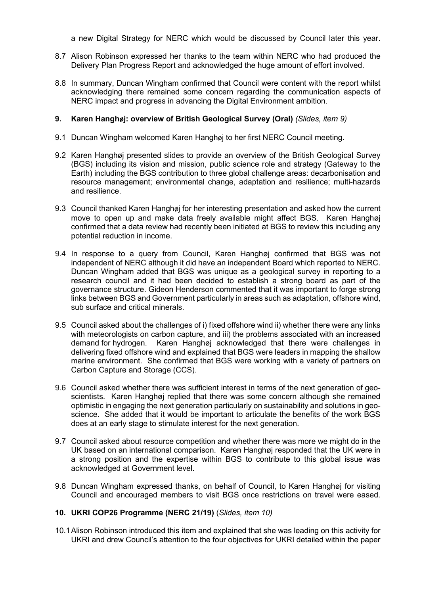a new Digital Strategy for NERC which would be discussed by Council later this year.

- 8.7 Alison Robinson expressed her thanks to the team within NERC who had produced the Delivery Plan Progress Report and acknowledged the huge amount of effort involved.
- 8.8 In summary, Duncan Wingham confirmed that Council were content with the report whilst acknowledging there remained some concern regarding the communication aspects of NERC impact and progress in advancing the Digital Environment ambition.

### **9. Karen Hanghøj: overview of British Geological Survey (Oral)** *(Slides, item 9)*

- 9.1 Duncan Wingham welcomed Karen Hanghøj to her first NERC Council meeting.
- 9.2 Karen Hanghøj presented slides to provide an overview of the British Geological Survey (BGS) including its vision and mission, public science role and strategy (Gateway to the Earth) including the BGS contribution to three global challenge areas: decarbonisation and resource management; environmental change, adaptation and resilience; multi-hazards and resilience.
- 9.3 Council thanked Karen Hanghøj for her interesting presentation and asked how the current move to open up and make data freely available might affect BGS. Karen Hanghøj confirmed that a data review had recently been initiated at BGS to review this including any potential reduction in income.
- 9.4 In response to a query from Council, Karen Hanghøj confirmed that BGS was not independent of NERC although it did have an independent Board which reported to NERC. Duncan Wingham added that BGS was unique as a geological survey in reporting to a research council and it had been decided to establish a strong board as part of the governance structure. Gideon Henderson commented that it was important to forge strong links between BGS and Government particularly in areas such as adaptation, offshore wind, sub surface and critical minerals.
- 9.5 Council asked about the challenges of i) fixed offshore wind ii) whether there were any links with meteorologists on carbon capture, and iii) the problems associated with an increased demand for hydrogen. Karen Hanghøj acknowledged that there were challenges in delivering fixed offshore wind and explained that BGS were leaders in mapping the shallow marine environment. She confirmed that BGS were working with a variety of partners on Carbon Capture and Storage (CCS).
- 9.6 Council asked whether there was sufficient interest in terms of the next generation of geoscientists. Karen Hanghøj replied that there was some concern although she remained optimistic in engaging the next generation particularly on sustainability and solutions in geoscience. She added that it would be important to articulate the benefits of the work BGS does at an early stage to stimulate interest for the next generation.
- 9.7 Council asked about resource competition and whether there was more we might do in the UK based on an international comparison. Karen Hanghøj responded that the UK were in a strong position and the expertise within BGS to contribute to this global issue was acknowledged at Government level.
- 9.8 Duncan Wingham expressed thanks, on behalf of Council, to Karen Hanghøj for visiting Council and encouraged members to visit BGS once restrictions on travel were eased.

#### **10. UKRI COP26 Programme (NERC 21/19)** (*Slides, item 10)*

10.1Alison Robinson introduced this item and explained that she was leading on this activity for UKRI and drew Council's attention to the four objectives for UKRI detailed within the paper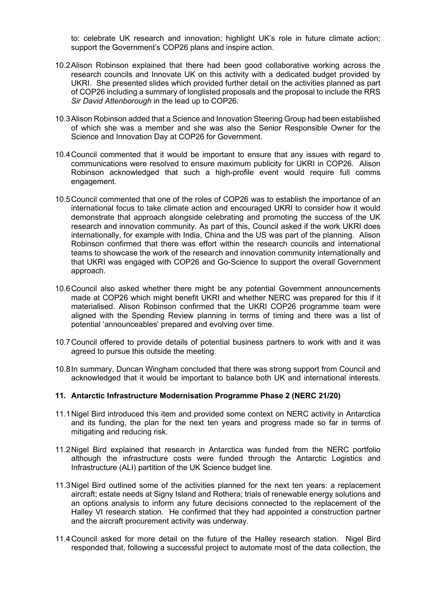to: celebrate UK research and innovation; highlight UK's role in future climate action; support the Government's COP26 plans and inspire action.

- 10.2Alison Robinson explained that there had been good collaborative working across the research councils and Innovate UK on this activity with a dedicated budget provided by UKRI. She presented slides which provided further detail on the activities planned as part of COP26 including a summary of longlisted proposals and the proposal to include the RRS *Sir David Attenborough* in the lead up to COP26.
- 10.3Alison Robinson added that a Science and Innovation Steering Group had been established of which she was a member and she was also the Senior Responsible Owner for the Science and Innovation Day at COP26 for Government.
- 10.4Council commented that it would be important to ensure that any issues with regard to communications were resolved to ensure maximum publicity for UKRI in COP26. Alison Robinson acknowledged that such a high-profile event would require full comms engagement.
- 10.5Council commented that one of the roles of COP26 was to establish the importance of an international focus to take climate action and encouraged UKRI to consider how it would demonstrate that approach alongside celebrating and promoting the success of the UK research and innovation community. As part of this, Council asked if the work UKRI does internationally, for example with India, China and the US was part of the planning. Alison Robinson confirmed that there was effort within the research councils and international teams to showcase the work of the research and innovation community internationally and that UKRI was engaged with COP26 and Go-Science to support the overall Government approach.
- 10.6Council also asked whether there might be any potential Government announcements made at COP26 which might benefit UKRI and whether NERC was prepared for this if it materialised. Alison Robinson confirmed that the UKRI COP26 programme team were aligned with the Spending Review planning in terms of timing and there was a list of potential 'announceables' prepared and evolving over time.
- 10.7Council offered to provide details of potential business partners to work with and it was agreed to pursue this outside the meeting.
- 10.8In summary, Duncan Wingham concluded that there was strong support from Council and acknowledged that it would be important to balance both UK and international interests.

#### **11. Antarctic Infrastructure Modernisation Programme Phase 2 (NERC 21/20)**

- 11.1Nigel Bird introduced this item and provided some context on NERC activity in Antarctica and its funding, the plan for the next ten years and progress made so far in terms of mitigating and reducing risk.
- 11.2Nigel Bird explained that research in Antarctica was funded from the NERC portfolio although the infrastructure costs were funded through the Antarctic Logistics and Infrastructure (ALI) partition of the UK Science budget line.
- 11.3Nigel Bird outlined some of the activities planned for the next ten years: a replacement aircraft; estate needs at Signy Island and Rothera; trials of renewable energy solutions and an options analysis to inform any future decisions connected to the replacement of the Halley VI research station. He confirmed that they had appointed a construction partner and the aircraft procurement activity was underway.
- 11.4Council asked for more detail on the future of the Halley research station. Nigel Bird responded that, following a successful project to automate most of the data collection, the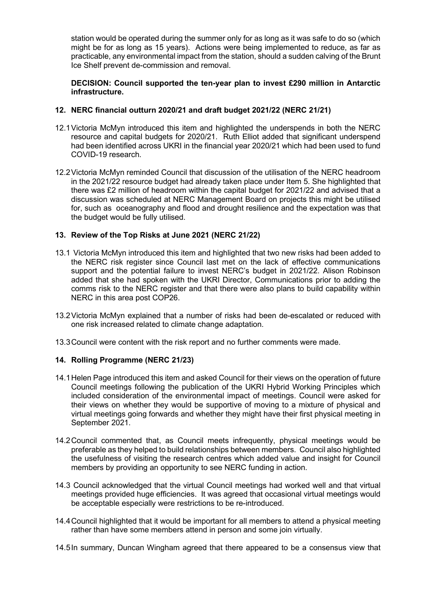station would be operated during the summer only for as long as it was safe to do so (which might be for as long as 15 years). Actions were being implemented to reduce, as far as practicable, any environmental impact from the station, should a sudden calving of the Brunt Ice Shelf prevent de-commission and removal.

### **DECISION: Council supported the ten-year plan to invest £290 million in Antarctic infrastructure.**

### **12. NERC financial outturn 2020/21 and draft budget 2021/22 (NERC 21/21)**

- 12.1Victoria McMyn introduced this item and highlighted the underspends in both the NERC resource and capital budgets for 2020/21. Ruth Elliot added that significant underspend had been identified across UKRI in the financial year 2020/21 which had been used to fund COVID-19 research.
- 12.2Victoria McMyn reminded Council that discussion of the utilisation of the NERC headroom in the 2021/22 resource budget had already taken place under Item 5. She highlighted that there was £2 million of headroom within the capital budget for 2021/22 and advised that a discussion was scheduled at NERC Management Board on projects this might be utilised for, such as oceanography and flood and drought resilience and the expectation was that the budget would be fully utilised.

### **13. Review of the Top Risks at June 2021 (NERC 21/22)**

- 13.1 Victoria McMyn introduced this item and highlighted that two new risks had been added to the NERC risk register since Council last met on the lack of effective communications support and the potential failure to invest NERC's budget in 2021/22. Alison Robinson added that she had spoken with the UKRI Director, Communications prior to adding the comms risk to the NERC register and that there were also plans to build capability within NERC in this area post COP26.
- 13.2Victoria McMyn explained that a number of risks had been de-escalated or reduced with one risk increased related to climate change adaptation.
- 13.3Council were content with the risk report and no further comments were made.

# **14. Rolling Programme (NERC 21/23)**

- 14.1Helen Page introduced this item and asked Council for their views on the operation of future Council meetings following the publication of the UKRI Hybrid Working Principles which included consideration of the environmental impact of meetings. Council were asked for their views on whether they would be supportive of moving to a mixture of physical and virtual meetings going forwards and whether they might have their first physical meeting in September 2021.
- 14.2Council commented that, as Council meets infrequently, physical meetings would be preferable as they helped to build relationships between members. Council also highlighted the usefulness of visiting the research centres which added value and insight for Council members by providing an opportunity to see NERC funding in action.
- 14.3 Council acknowledged that the virtual Council meetings had worked well and that virtual meetings provided huge efficiencies. It was agreed that occasional virtual meetings would be acceptable especially were restrictions to be re-introduced.
- 14.4Council highlighted that it would be important for all members to attend a physical meeting rather than have some members attend in person and some join virtually.
- 14.5In summary, Duncan Wingham agreed that there appeared to be a consensus view that